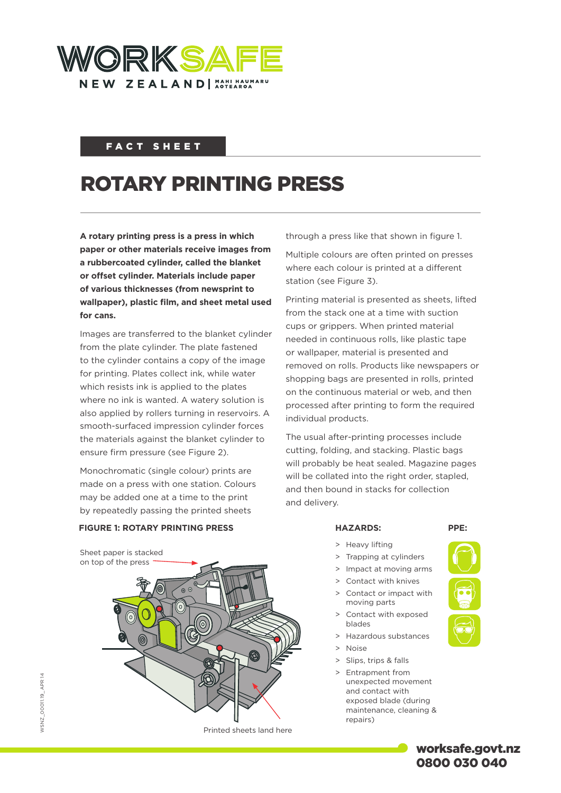

## FACT SHEET

# ROTARY PRINTING PRESS

**A rotary printing press is a press in which paper or other materials receive images from a rubbercoated cylinder, called the blanket or offset cylinder. Materials include paper of various thicknesses (from newsprint to wallpaper), plastic film, and sheet metal used for cans.**

Images are transferred to the blanket cylinder from the plate cylinder. The plate fastened to the cylinder contains a copy of the image for printing. Plates collect ink, while water which resists ink is applied to the plates where no ink is wanted. A watery solution is also applied by rollers turning in reservoirs. A smooth-surfaced impression cylinder forces the materials against the blanket cylinder to ensure firm pressure (see Figure 2).

Monochromatic (single colour) prints are made on a press with one station. Colours may be added one at a time to the print by repeatedly passing the printed sheets

through a press like that shown in figure 1.

Multiple colours are often printed on presses where each colour is printed at a different station (see Figure 3).

Printing material is presented as sheets, lifted from the stack one at a time with suction cups or grippers. When printed material needed in continuous rolls, like plastic tape or wallpaper, material is presented and removed on rolls. Products like newspapers or shopping bags are presented in rolls, printed on the continuous material or web, and then processed after printing to form the required individual products.

The usual after-printing processes include cutting, folding, and stacking. Plastic bags will probably be heat sealed. Magazine pages will be collated into the right order, stapled, and then bound in stacks for collection and delivery.



Sheet paper is stacked on top of the press



Printed sheets land here

- > Heavy lifting
- > Trapping at cylinders
- > Impact at moving arms
- Contact with knives
- Contact or impact with moving parts
- > Contact with exposed blades
- > Hazardous substances
- > Noise
- > Slips, trips & falls
- Entrapment from unexpected movement and contact with exposed blade (during maintenance, cleaning & repairs)



worksafe.govt.nz 0800 030 040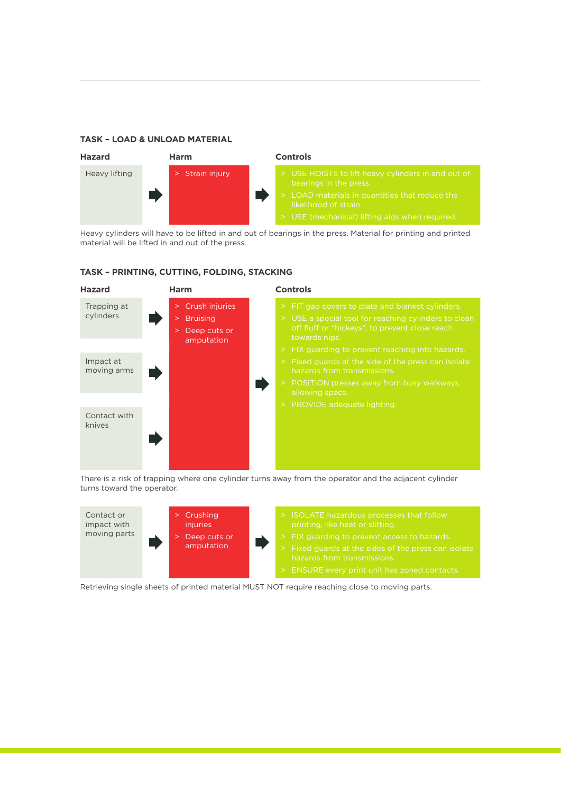#### **TASK – LOAD & UNLOAD MATERIAL**



Heavy cylinders will have to be lifted in and out of bearings in the press. Material for printing and printed material will be lifted in and out of the press.



#### **TASK – PRINTING, CUTTING, FOLDING, STACKING**

There is a risk of trapping where one cylinder turns away from the operator and the adjacent cylinder turns toward the operator.



Retrieving single sheets of printed material MUST NOT require reaching close to moving parts.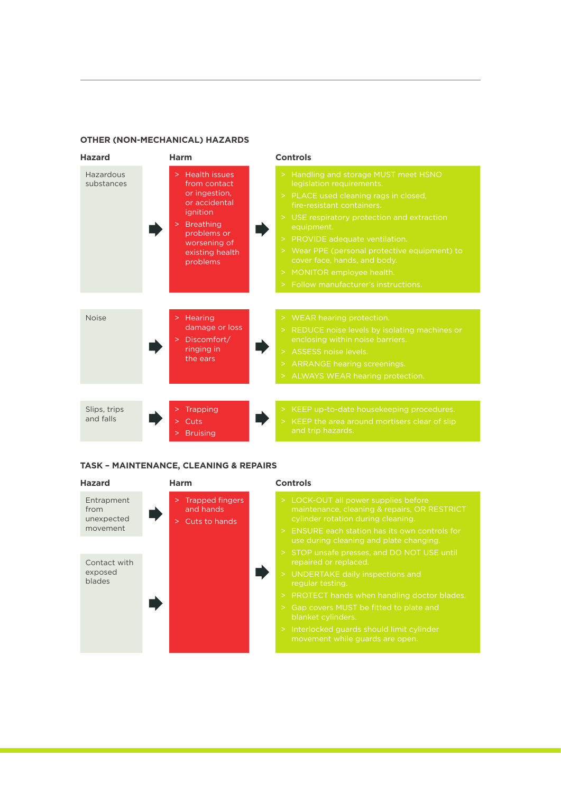#### **OTHER (NON-MECHANICAL) HAZARDS**



#### **TASK – MAINTENANCE, CLEANING & REPAIRS**